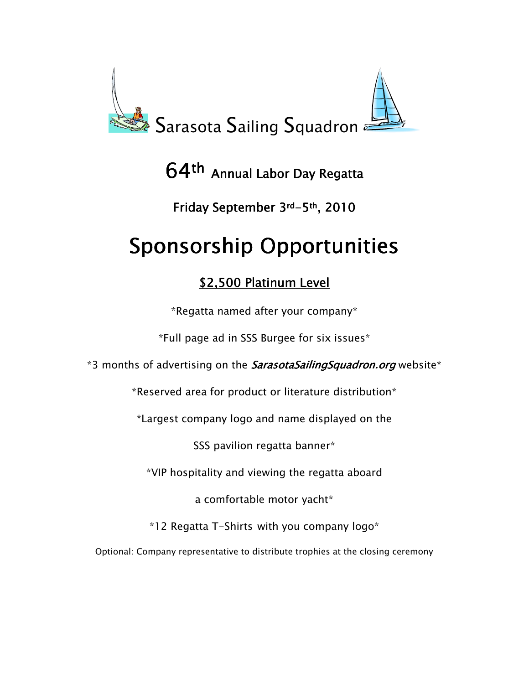

## $64$ <sup>th</sup> Annual Labor Day Regatta

## Friday September 3rd-5th, 2010

# Sponsorship Opportunities

## \$2,500 Platinum Level

\*Regatta named after your company\*

\*Full page ad in SSS Burgee for six issues\*

\*3 months of advertising on the **SarasotaSailingSquadron.org** website\*

\*Reserved area for product or literature distribution\*

\*Largest company logo and name displayed on the

SSS pavilion regatta banner\*

\*VIP hospitality and viewing the regatta aboard

a comfortable motor yacht\*

\*12 Regatta T-Shirts with you company logo\*

Optional: Company representative to distribute trophies at the closing ceremony